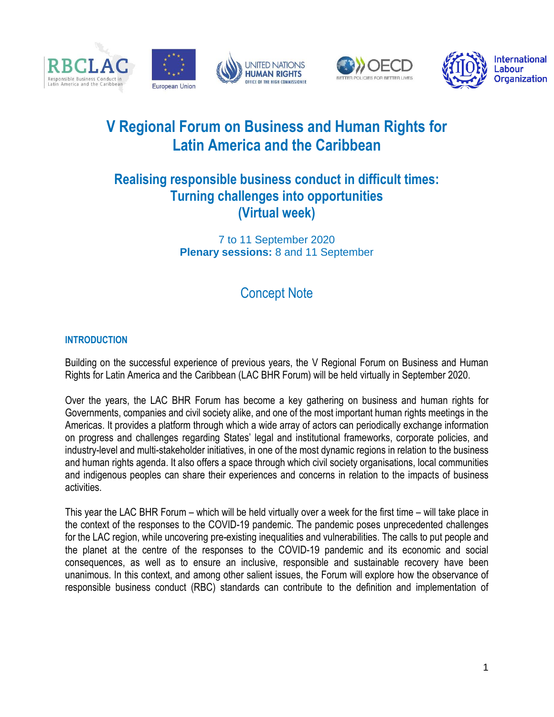





# **V Regional Forum on Business and Human Rights for Latin America and the Caribbean**

# **Realising responsible business conduct in difficult times: Turning challenges into opportunities (Virtual week)**

7 to 11 September 2020 **Plenary sessions:** 8 and 11 September

# Concept Note

## **INTRODUCTION**

Building on the successful experience of previous years, the V Regional Forum on Business and Human Rights for Latin America and the Caribbean (LAC BHR Forum) will be held virtually in September 2020.

Over the years, the LAC BHR Forum has become a key gathering on business and human rights for Governments, companies and civil society alike, and one of the most important human rights meetings in the Americas. It provides a platform through which a wide array of actors can periodically exchange information on progress and challenges regarding States' legal and institutional frameworks, corporate policies, and industry-level and multi-stakeholder initiatives, in one of the most dynamic regions in relation to the business and human rights agenda. It also offers a space through which civil society organisations, local communities and indigenous peoples can share their experiences and concerns in relation to the impacts of business activities.

This year the LAC BHR Forum – which will be held virtually over a week for the first time – will take place in the context of the responses to the COVID-19 pandemic. The pandemic poses unprecedented challenges for the LAC region, while uncovering pre-existing inequalities and vulnerabilities. The calls to put people and the planet at the centre of the responses to the COVID-19 pandemic and its economic and social consequences, as well as to ensure an inclusive, responsible and sustainable recovery have been unanimous. In this context, and among other salient issues, the Forum will explore how the observance of responsible business conduct (RBC) standards can contribute to the definition and implementation of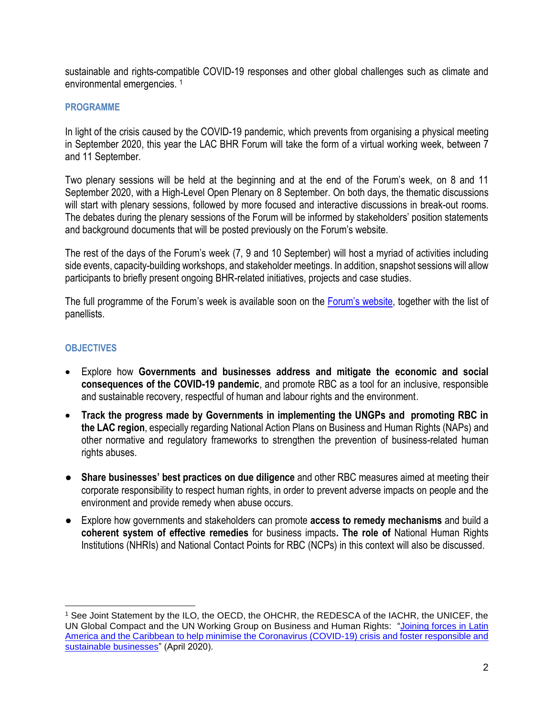sustainable and rights-compatible COVID-19 responses and other global challenges such as climate and environmental emergencies. <sup>1</sup>

#### **PROGRAMME**

In light of the crisis caused by the COVID-19 pandemic, which prevents from organising a physical meeting in September 2020, this year the LAC BHR Forum will take the form of a virtual working week, between 7 and 11 September.

Two plenary sessions will be held at the beginning and at the end of the Forum's week, on 8 and 11 September 2020, with a High-Level Open Plenary on 8 September. On both days, the thematic discussions will start with plenary sessions, followed by more focused and interactive discussions in break-out rooms. The debates during the plenary sessions of the Forum will be informed by stakeholders' position statements and background documents that will be posted previously on the Forum's website.

The rest of the days of the Forum's week (7, 9 and 10 September) will host a myriad of activities including side events, capacity-building workshops, and stakeholder meetings. In addition, snapshot sessions will allow participants to briefly present ongoing BHR-related initiatives, projects and case studies.

The full programme of the Forum's week is available soon on the [Forum's website](http://www.oacnudh.org/v-consulta-regional-sobre-empresas-y-derechos-humanos-para-america-latina-y-el-caribe/), together with the list of panellists.

#### **OBJECTIVES**

- Explore how **Governments and businesses address and mitigate the economic and social consequences of the COVID-19 pandemic**, and promote RBC as a tool for an inclusive, responsible and sustainable recovery, respectful of human and labour rights and the environment.
- **Track the progress made by Governments in implementing the UNGPs and promoting RBC in the LAC region**, especially regarding National Action Plans on Business and Human Rights (NAPs) and other normative and regulatory frameworks to strengthen the prevention of business-related human rights abuses.
- **Share businesses' best practices on due diligence** and other RBC measures aimed at meeting their corporate responsibility to respect human rights, in order to prevent adverse impacts on people and the environment and provide remedy when abuse occurs.
- Explore how governments and stakeholders can promote **access to remedy mechanisms** and build a **coherent system of effective remedies** for business impacts**. The role of** National Human Rights Institutions (NHRIs) and National Contact Points for RBC (NCPs) in this context will also be discussed.

 <sup>1</sup> See Joint Statement by the ILO, the OECD, the OHCHR, the REDESCA of the IACHR, the UNICEF, the UN Global Compact and the UN Working Group on Business and Human Rights: ["Joining forces in Latin](http://www.oecd.org/investment/mne/COVID-19-Latin-America-Caribbean-Statement-on-responsible-and-sustainable-businesses.pdf)  [America and the Caribbean to help minimise the Coronavirus \(COVID-19\) crisis and foster responsible and](http://www.oecd.org/investment/mne/COVID-19-Latin-America-Caribbean-Statement-on-responsible-and-sustainable-businesses.pdf)  [sustainable businesses"](http://www.oecd.org/investment/mne/COVID-19-Latin-America-Caribbean-Statement-on-responsible-and-sustainable-businesses.pdf) (April 2020).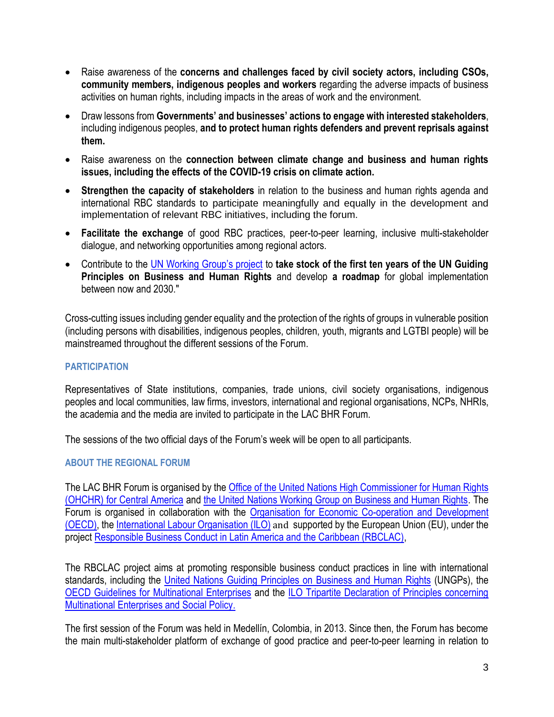- Raise awareness of the **concerns and challenges faced by civil society actors, including CSOs, community members, indigenous peoples and workers** regarding the adverse impacts of business activities on human rights, including impacts in the areas of work and the environment.
- Draw lessons from **Governments' and businesses' actions to engage with interested stakeholders**, including indigenous peoples, **and to protect human rights defenders and prevent reprisals against them.**
- Raise awareness on the **connection between climate change and business and human rights issues, including the effects of the COVID-19 crisis on climate action.**
- **Strengthen the capacity of stakeholders** in relation to the business and human rights agenda and international RBC standards to participate meaningfully and equally in the development and implementation of relevant RBC initiatives, including the forum.
- **Facilitate the exchange** of good RBC practices, peer-to-peer learning, inclusive multi-stakeholder dialogue, and networking opportunities among regional actors.
- Contribute to the [UN Working Group's project](https://www.ohchr.org/EN/Issues/Business/Pages/UNGPsBizHRsnext10.aspx) to **take stock of the first ten years of the UN Guiding Principles on Business and Human Rights** and develop **a roadmap** for global implementation between now and 2030."

Cross-cutting issues including gender equality and the protection of the rights of groups in vulnerable position (including persons with disabilities, indigenous peoples, children, youth, migrants and LGTBI people) will be mainstreamed throughout the different sessions of the Forum.

## **PARTICIPATION**

Representatives of State institutions, companies, trade unions, civil society organisations, indigenous peoples and local communities, law firms, investors, international and regional organisations, NCPs, NHRIs, the academia and the media are invited to participate in the LAC BHR Forum.

The sessions of the two official days of the Forum's week will be open to all participants.

## **ABOUT THE REGIONAL FORUM**

The LAC BHR Forum is organised by th[e Office of the United Nations High Commissioner for Human Rights](http://www.oacnudh.org/)  [\(OHCHR\) for Central America](http://www.oacnudh.org/) and the [United Nations Working Group on Business and Human Rights.](https://www.ohchr.org/SP/Issues/Business/Pages/WGHRandtransnationalcorporationsandotherbusiness.aspx) The Forum is organised in collaboration with the [Organisation for Economic Co-operation and Development](http://mneguidelines.oecd.org/globalpartnerships/)  [\(OECD\),](http://mneguidelines.oecd.org/globalpartnerships/) th[e International Labour Organisation \(ILO\)](https://www.ilo.org/empent/Projects/WCMS_670758/lang--en/index.htm) and supported by the European Union (EU), under the project [Responsible Business Conduct in Latin America and the Caribbean \(RBCLAC\),](https://www.ohchr.org/EN/Issues/Business/Pages/JointProjectResponsibleBusinessConduct.aspx)

The RBCLAC project aims at promoting responsible business conduct practices in line with international standards, including the [United Nations Guiding Principles on Business and Human Rights](https://www.ohchr.org/documents/publications/GuidingprinciplesBusinesshr_eN.pdf) (UNGPs), the [OECD Guidelines for Multinational Enterprises](http://www.oecd.org/corporate/mne/) and the [ILO Tripartite Declaration of Principles concerning](https://www.ilo.org/wcmsp5/groups/public/---ed_emp/---emp_ent/---multi/documents/publication/wcms_094386.pdf)  [Multinational Enterprises and Social Policy.](https://www.ilo.org/wcmsp5/groups/public/---ed_emp/---emp_ent/---multi/documents/publication/wcms_094386.pdf)

The first session of the Forum was held in Medellín, Colombia, in 2013. Since then, the Forum has become the main multi-stakeholder platform of exchange of good practice and peer-to-peer learning in relation to